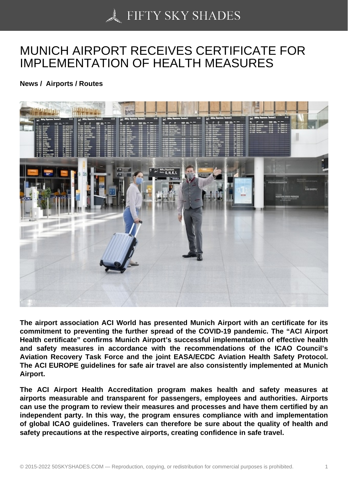## [MUNICH AIRPORT RE](https://50skyshades.com)CEIVES CERTIFICATE FOR IMPLEMENTATION OF HEALTH MEASURES

News / Airports / Routes

The airport association ACI World has presented Munich Airport with an certificate for its commitment to preventing the further spread of the COVID-19 pandemic. The "ACI Airport Health certificate" confirms Munich Airport's successful implementation of effective health and safety measures in accordance with the recommendations of the ICAO Council's Aviation Recovery Task Force and the joint EASA/ECDC Aviation Health Safety Protocol. The ACI EUROPE guidelines for safe air travel are also consistently implemented at Munich Airport.

The ACI Airport Health Accreditation program makes health and safety measures at airports measurable and transparent for passengers, employees and authorities. Airports can use the program to review their measures and processes and have them certified by an independent party. In this way, the program ensures compliance with and implementation of global ICAO guidelines. Travelers can therefore be sure about the quality of health and safety precautions at the respective airports, creating confidence in safe travel.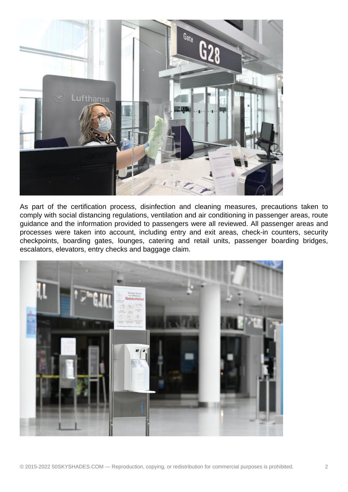

As part of the certification process, disinfection and cleaning measures, precautions taken to comply with social distancing regulations, ventilation and air conditioning in passenger areas, route guidance and the information provided to passengers were all reviewed. All passenger areas and processes were taken into account, including entry and exit areas, check-in counters, security checkpoints, boarding gates, lounges, catering and retail units, passenger boarding bridges, escalators, elevators, entry checks and baggage claim.